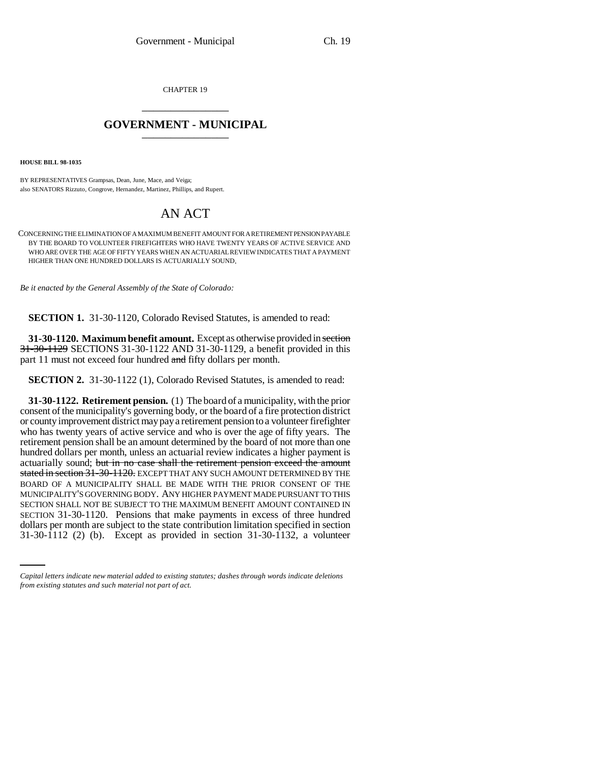CHAPTER 19 \_\_\_\_\_\_\_\_\_\_\_\_\_\_\_

## **GOVERNMENT - MUNICIPAL** \_\_\_\_\_\_\_\_\_\_\_\_\_\_\_

**HOUSE BILL 98-1035**

BY REPRESENTATIVES Grampsas, Dean, June, Mace, and Veiga; also SENATORS Rizzuto, Congrove, Hernandez, Martinez, Phillips, and Rupert.

## AN ACT

CONCERNING THE ELIMINATION OF A MAXIMUM BENEFIT AMOUNT FOR A RETIREMENT PENSION PAYABLE BY THE BOARD TO VOLUNTEER FIREFIGHTERS WHO HAVE TWENTY YEARS OF ACTIVE SERVICE AND WHO ARE OVER THE AGE OF FIFTY YEARS WHEN AN ACTUARIAL REVIEW INDICATES THAT A PAYMENT HIGHER THAN ONE HUNDRED DOLLARS IS ACTUARIALLY SOUND.

*Be it enacted by the General Assembly of the State of Colorado:*

**SECTION 1.** 31-30-1120, Colorado Revised Statutes, is amended to read:

**31-30-1120. Maximum benefit amount.** Except as otherwise provided in section 31-30-1129 SECTIONS 31-30-1122 AND 31-30-1129, a benefit provided in this part 11 must not exceed four hundred and fifty dollars per month.

**SECTION 2.** 31-30-1122 (1), Colorado Revised Statutes, is amended to read:

SECTION 31-30-1120. Pensions that make payments in excess of three hundred **31-30-1122. Retirement pension.** (1) The board of a municipality, with the prior consent of the municipality's governing body, or the board of a fire protection district or county improvement district may pay a retirement pension to a volunteer firefighter who has twenty years of active service and who is over the age of fifty years. The retirement pension shall be an amount determined by the board of not more than one hundred dollars per month, unless an actuarial review indicates a higher payment is actuarially sound; but in no case shall the retirement pension exceed the amount stated in section 31-30-1120. EXCEPT THAT ANY SUCH AMOUNT DETERMINED BY THE BOARD OF A MUNICIPALITY SHALL BE MADE WITH THE PRIOR CONSENT OF THE MUNICIPALITY'S GOVERNING BODY. ANY HIGHER PAYMENT MADE PURSUANT TO THIS SECTION SHALL NOT BE SUBJECT TO THE MAXIMUM BENEFIT AMOUNT CONTAINED IN dollars per month are subject to the state contribution limitation specified in section 31-30-1112 (2) (b). Except as provided in section 31-30-1132, a volunteer

*Capital letters indicate new material added to existing statutes; dashes through words indicate deletions from existing statutes and such material not part of act.*